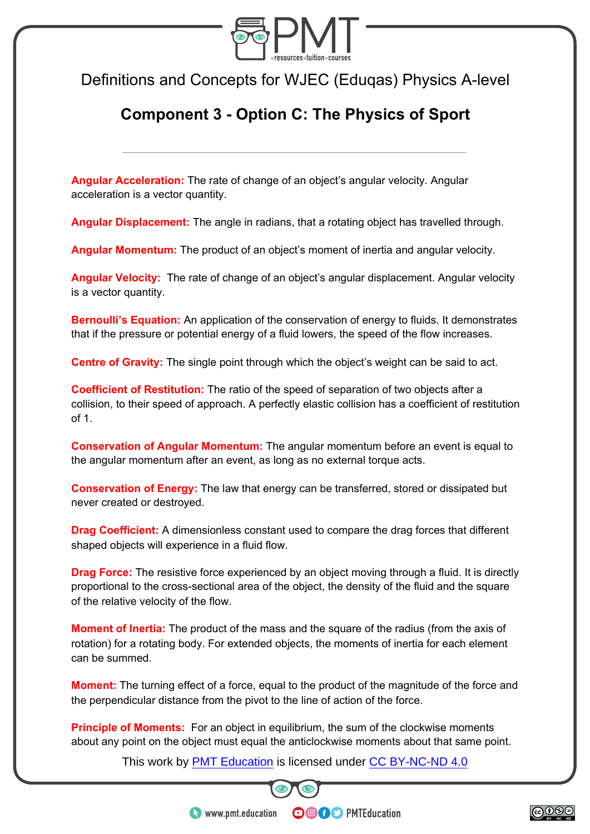

Definitions and Concepts for WJEC (Eduqas) Physics A-level

## **Component 3 - Option C: The Physics of Sport**

**Angular Acceleration:** The rate of change of an object's angular velocity. Angular acceleration is a vector quantity.

**Angular Displacement:** The angle in radians, that a rotating object has travelled through.

**Angular Momentum:** The product of an object's moment of inertia and angular velocity.

**Angular Velocity:** The rate of change of an object's angular displacement. Angular velocity is a vector quantity.

**Bernoulli's Equation:** An application of the conservation of energy to fluids. It demonstrates that if the pressure or potential energy of a fluid lowers, the speed of the flow increases.

**Centre of Gravity:** The single point through which the object's weight can be said to act.

**Coefficient of Restitution:** The ratio of the speed of separation of two objects after a collision, to their speed of approach. A perfectly elastic collision has a coefficient of restitution of 1.

**Conservation of Angular Momentum:** The angular momentum before an event is equal to the angular momentum after an event, as long as no external torque acts.

**Conservation of Energy:** The law that energy can be transferred, stored or dissipated but never created or destroyed.

**Drag Coefficient:** A dimensionless constant used to compare the drag forces that different shaped objects will experience in a fluid flow.

**Drag Force:** The resistive force experienced by an object moving through a fluid. It is directly proportional to the cross-sectional area of the object, the density of the fluid and the square of the relative velocity of the flow.

**Moment of Inertia:** The product of the mass and the square of the radius (from the axis of rotation) for a rotating body. For extended objects, the moments of inertia for each element can be summed.

**Moment:** The turning effect of a force, equal to the product of the magnitude of the force and the perpendicular distance from the pivot to the line of action of the force.

**Principle of Moments:** For an object in equilibrium, the sum of the clockwise moments about any point on the object must equal the anticlockwise moments about that same point.

This work by **PMT Education** is licensed under CC BY-NC-ND 4.0



**OOOO** PMTEducation